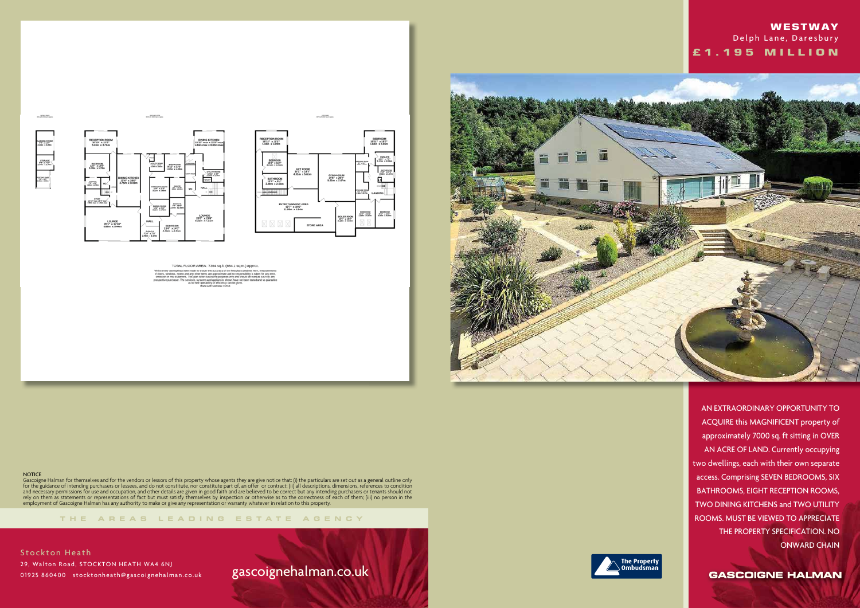AROEN STORE<br>PF + 1777<br>Linux + 1.09x

 $\substack{37000000\\4997,13000}\\13000,13000}$ 

lin.<br>Biblio

mal service





moltime.

TOTAL FLOOR AREA: 7364 sq.ft. (684.2 sq.m.) approx.



**NOTICE** 

**THE AREA S LEADING ES T A TE A G E N C Y**

Gascoigne Halman for themselves and for the vendors or lessors of this property whose agents they are give notice that: (i) the particulars are set out as a general outline only for the guidance of intending purchasers or lessees, and do not constitute, nor constitute part of, an offer or contract; (ii) all descriptions, dimensions, references to condition and necessary permissions for use and occupation, and other details are given in good faith and are believed to be correct but any intending purchasers or tenants should not rely on them as statements or representations of fact but must satisfy themselves by inspection or otherwise as to the correctness of each of them; (iii) no person in the employment of Gascoigne Halman has any authority to make or give any representation or warranty whatever in relation to this property.

Stockton Heath 29, Walton Road, STOCKTON HEATH WA4 6NJ 01925 860400 stocktonheath@gascoignehalman.co.uk

gascoignehalman.co.uk



 AN EXTRAORDINARY OPPORTUNITY TO ACQUIRE this MAGNIFICENT property of approximately 7000 sq. ft sitting in OVER AN ACRE OF LAND. Currently occupying two dwellings, each with their own separate access. Comprising SEVEN BEDROOMS, SIX BATHROOMS, EIGHT RECEPTION ROOMS, TWO DINING KITCHENS and TWO UTILITY ROOMS. MUST BE VIEWED TO APPRECIATE THE PROPERTY SPECIFICATION. NO ONWARD CHAIN

**GASCOIGNE HALMAN** 

## **WESTWAY**  Delph Lane, Daresbury  **£ 1 . 1 9 5 M I L L I O N**